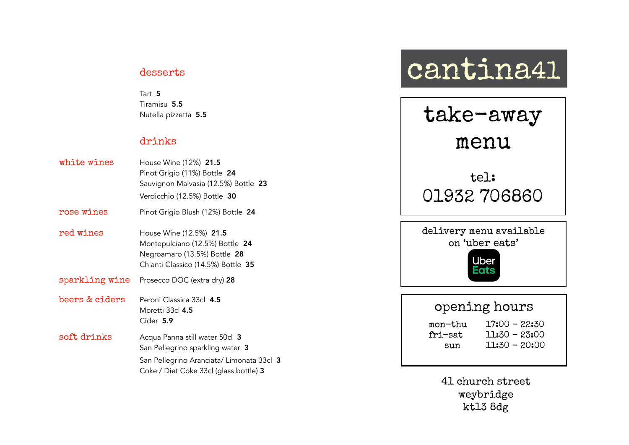### desserts

Tart 5 Tiramisu 5.5 Nutella pizzetta 5.5

## drinks

| white wines    | House Wine (12%) 21.5<br>Pinot Grigio (11%) Bottle 24<br>Sauvignon Malvasia (12.5%) Bottle 23<br>Verdicchio (12.5%) Bottle 30                             |
|----------------|-----------------------------------------------------------------------------------------------------------------------------------------------------------|
| rose wines     | Pinot Grigio Blush (12%) Bottle 24                                                                                                                        |
| red wines      | House Wine (12.5%) 21.5<br>Montepulciano (12.5%) Bottle 24<br>Negroamaro (13.5%) Bottle 28<br>Chianti Classico (14.5%) Bottle 35                          |
| sparkling wine | Prosecco DOC (extra dry) 28                                                                                                                               |
| beers & ciders | Peroni Classica 33cl 4.5<br>Moretti 33cl 4.5<br>Cider 5.9                                                                                                 |
| soft drinks    | Acqua Panna still water 50cl 3<br>San Pellegrino sparkling water 3<br>San Pellegrino Aranciata/ Limonata 33cl 3<br>Coke / Diet Coke 33cl (glass bottle) 3 |

# cantina41



# opening hours

| mon-thu | ľ |
|---------|---|
| fri-sat |   |
| sun     |   |

 $7:00 - 22:30$  $1:30 - 23:00$ 

 $1:30 - 20:00$ 

41 church street weybridge kt13 8dg